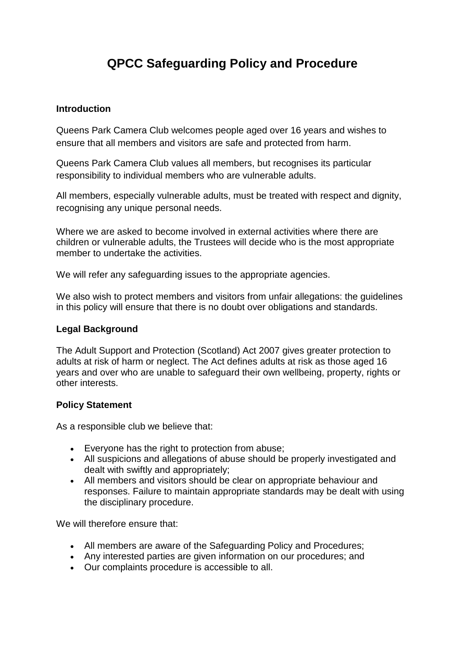# **QPCC Safeguarding Policy and Procedure**

## **Introduction**

Queens Park Camera Club welcomes people aged over 16 years and wishes to ensure that all members and visitors are safe and protected from harm.

Queens Park Camera Club values all members, but recognises its particular responsibility to individual members who are vulnerable adults.

All members, especially vulnerable adults, must be treated with respect and dignity, recognising any unique personal needs.

Where we are asked to become involved in external activities where there are children or vulnerable adults, the Trustees will decide who is the most appropriate member to undertake the activities.

We will refer any safeguarding issues to the appropriate agencies.

We also wish to protect members and visitors from unfair allegations: the quidelines in this policy will ensure that there is no doubt over obligations and standards.

## **Legal Background**

The Adult Support and Protection (Scotland) Act 2007 gives greater protection to adults at risk of harm or neglect. The Act defines adults at risk as those aged 16 years and over who are unable to safeguard their own wellbeing, property, rights or other interests.

#### **Policy Statement**

As a responsible club we believe that:

- Everyone has the right to protection from abuse;
- All suspicions and allegations of abuse should be properly investigated and dealt with swiftly and appropriately;
- All members and visitors should be clear on appropriate behaviour and responses. Failure to maintain appropriate standards may be dealt with using the disciplinary procedure.

We will therefore ensure that:

- All members are aware of the Safeguarding Policy and Procedures;
- Any interested parties are given information on our procedures; and
- Our complaints procedure is accessible to all.